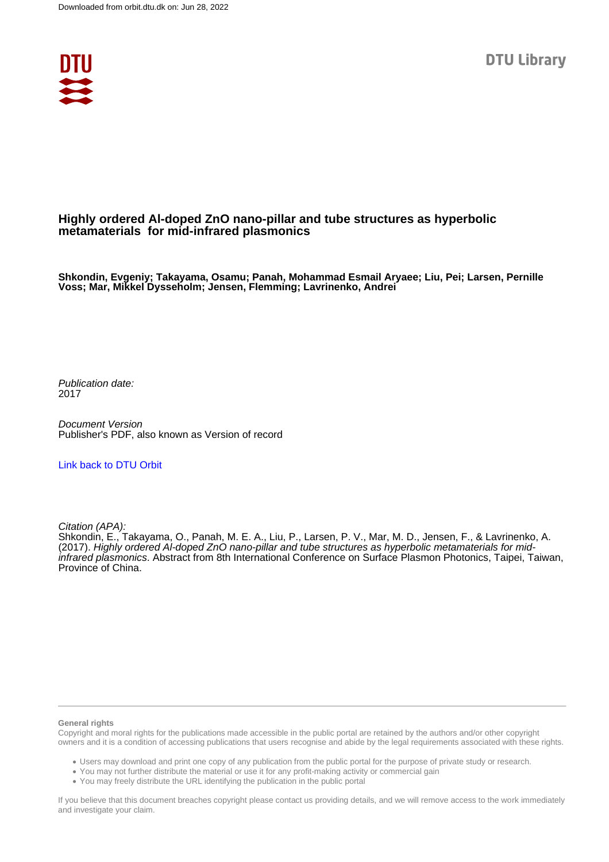

## **Highly ordered Al-doped ZnO nano-pillar and tube structures as hyperbolic metamaterials for mid-infrared plasmonics**

**Shkondin, Evgeniy; Takayama, Osamu; Panah, Mohammad Esmail Aryaee; Liu, Pei; Larsen, Pernille Voss; Mar, Mikkel Dysseholm; Jensen, Flemming; Lavrinenko, Andrei**

Publication date: 2017

Document Version Publisher's PDF, also known as Version of record

[Link back to DTU Orbit](https://orbit.dtu.dk/en/publications/7a938e9f-39e6-40ae-83f5-e0d6f14139ae)

Citation (APA):

Shkondin, E., Takayama, O., Panah, M. E. A., Liu, P., Larsen, P. V., Mar, M. D., Jensen, F., & Lavrinenko, A. (2017). Highly ordered Al-doped ZnO nano-pillar and tube structures as hyperbolic metamaterials for midinfrared plasmonics. Abstract from 8th International Conference on Surface Plasmon Photonics, Taipei, Taiwan, Province of China.

## **General rights**

Copyright and moral rights for the publications made accessible in the public portal are retained by the authors and/or other copyright owners and it is a condition of accessing publications that users recognise and abide by the legal requirements associated with these rights.

Users may download and print one copy of any publication from the public portal for the purpose of private study or research.

- You may not further distribute the material or use it for any profit-making activity or commercial gain
- You may freely distribute the URL identifying the publication in the public portal

If you believe that this document breaches copyright please contact us providing details, and we will remove access to the work immediately and investigate your claim.